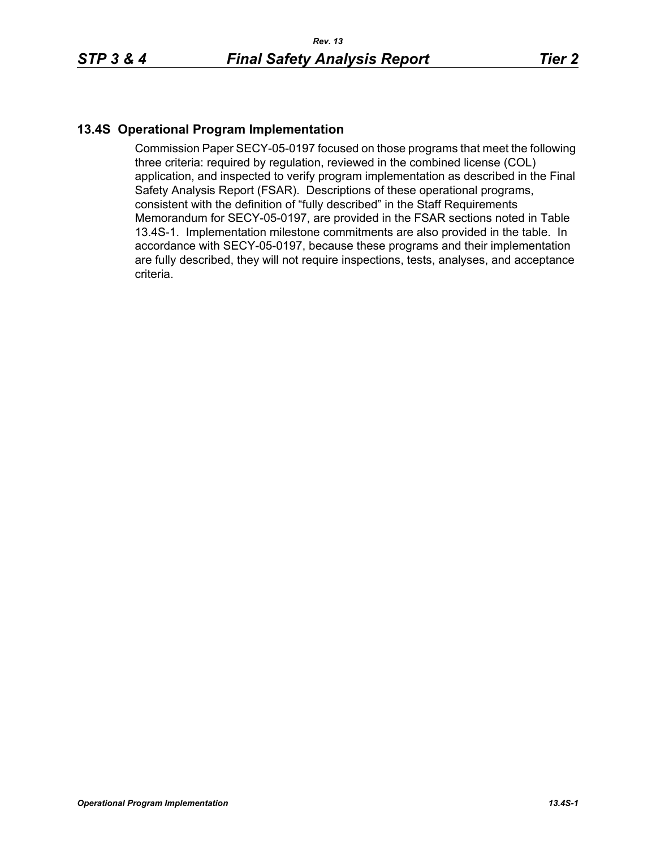## **13.4S Operational Program Implementation**

Commission Paper SECY-05-0197 focused on those programs that meet the following three criteria: required by regulation, reviewed in the combined license (COL) application, and inspected to verify program implementation as described in the Final Safety Analysis Report (FSAR). Descriptions of these operational programs, consistent with the definition of "fully described" in the Staff Requirements Memorandum for SECY-05-0197, are provided in the FSAR sections noted in Table 13.4S-1. Implementation milestone commitments are also provided in the table. In accordance with SECY-05-0197, because these programs and their implementation are fully described, they will not require inspections, tests, analyses, and acceptance criteria.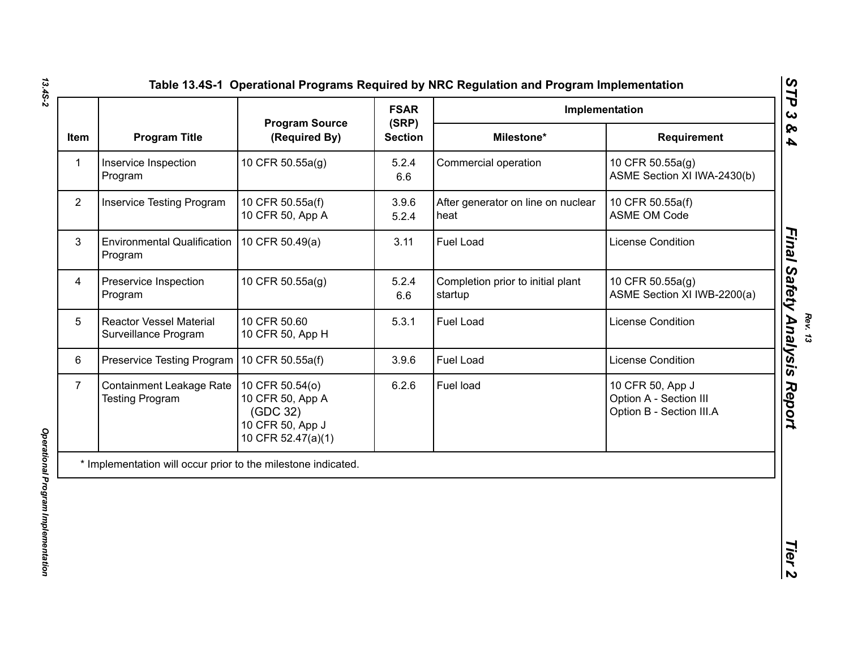|                |                                                               |                                                                                           | <b>FSAR</b>             | Implementation                               |                                                                        |
|----------------|---------------------------------------------------------------|-------------------------------------------------------------------------------------------|-------------------------|----------------------------------------------|------------------------------------------------------------------------|
| Item           | <b>Program Title</b>                                          | <b>Program Source</b><br>(Required By)                                                    | (SRP)<br><b>Section</b> | Milestone*                                   | Requirement                                                            |
| $\mathbf{1}$   | Inservice Inspection<br>Program                               | 10 CFR 50.55a(g)                                                                          | 5.2.4<br>6.6            | Commercial operation                         | 10 CFR 50.55a(g)<br>ASME Section XI IWA-2430(b)                        |
| $\overline{2}$ | <b>Inservice Testing Program</b>                              | 10 CFR 50.55a(f)<br>10 CFR 50, App A                                                      | 3.9.6<br>5.2.4          | After generator on line on nuclear<br>heat   | 10 CFR 50.55a(f)<br><b>ASME OM Code</b>                                |
| 3              | <b>Environmental Qualification</b><br>Program                 | 10 CFR 50.49(a)                                                                           | 3.11                    | Fuel Load                                    | <b>License Condition</b>                                               |
| 4              | Preservice Inspection<br>Program                              | 10 CFR 50.55a(g)                                                                          | 5.2.4<br>6.6            | Completion prior to initial plant<br>startup | 10 CFR 50.55a(g)<br>ASME Section XI IWB-2200(a)                        |
| 5              | <b>Reactor Vessel Material</b><br>Surveillance Program        | 10 CFR 50.60<br>10 CFR 50, App H                                                          | 5.3.1                   | Fuel Load                                    | <b>License Condition</b>                                               |
| 6              | Preservice Testing Program                                    | 10 CFR 50.55a(f)                                                                          | 3.9.6                   | Fuel Load                                    | License Condition                                                      |
| $\overline{7}$ | <b>Containment Leakage Rate</b><br><b>Testing Program</b>     | 10 CFR 50.54(o)<br>10 CFR 50, App A<br>(GDC 32)<br>10 CFR 50, App J<br>10 CFR 52.47(a)(1) | 6.2.6                   | Fuel load                                    | 10 CFR 50, App J<br>Option A - Section III<br>Option B - Section III.A |
|                | * Implementation will occur prior to the milestone indicated. |                                                                                           |                         |                                              |                                                                        |

*13.4S-2*

*Rev. 13*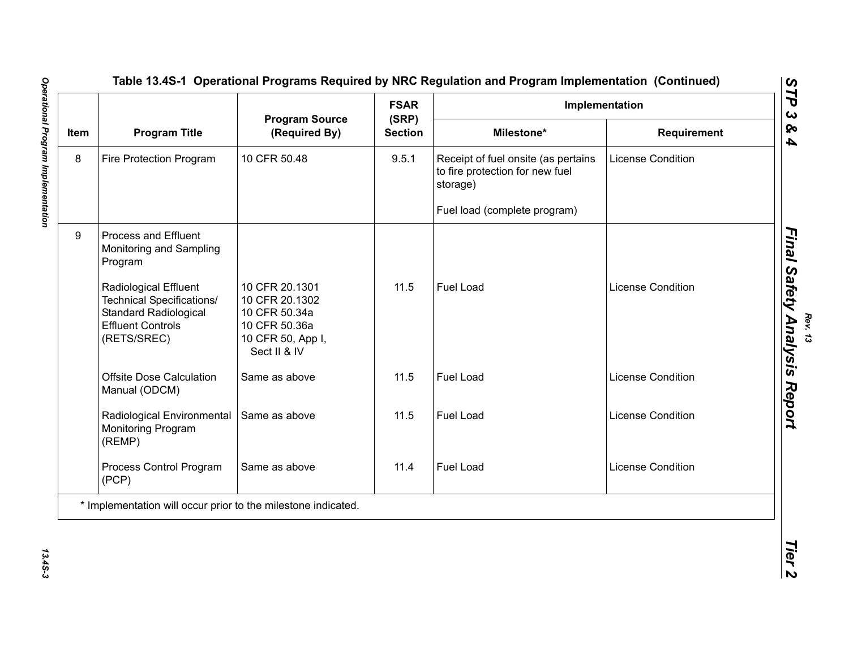|      | <b>Program Title</b>                                                                                                          |                                                                                                         | <b>FSAR</b>             | Implementation                                                                     |                          |  |
|------|-------------------------------------------------------------------------------------------------------------------------------|---------------------------------------------------------------------------------------------------------|-------------------------|------------------------------------------------------------------------------------|--------------------------|--|
| Item |                                                                                                                               | <b>Program Source</b><br>(Required By)                                                                  | (SRP)<br><b>Section</b> | Milestone*                                                                         | Requirement              |  |
| 8    | Fire Protection Program                                                                                                       | 10 CFR 50.48                                                                                            | 9.5.1                   | Receipt of fuel onsite (as pertains<br>to fire protection for new fuel<br>storage) | <b>License Condition</b> |  |
|      |                                                                                                                               |                                                                                                         |                         | Fuel load (complete program)                                                       |                          |  |
| 9    | Process and Effluent<br>Monitoring and Sampling<br>Program                                                                    |                                                                                                         |                         |                                                                                    |                          |  |
|      | Radiological Effluent<br>Technical Specifications/<br><b>Standard Radiological</b><br><b>Effluent Controls</b><br>(RETS/SREC) | 10 CFR 20.1301<br>10 CFR 20.1302<br>10 CFR 50.34a<br>10 CFR 50.36a<br>10 CFR 50, App I,<br>Sect II & IV | 11.5                    | Fuel Load                                                                          | <b>License Condition</b> |  |
|      | <b>Offsite Dose Calculation</b><br>Manual (ODCM)                                                                              | Same as above                                                                                           | 11.5                    | Fuel Load                                                                          | <b>License Condition</b> |  |
|      | Radiological Environmental<br>Monitoring Program<br>(REMP)                                                                    | Same as above                                                                                           | 11.5                    | Fuel Load                                                                          | <b>License Condition</b> |  |
|      | Process Control Program<br>(PCP)                                                                                              | Same as above                                                                                           | 11.4                    | Fuel Load                                                                          | <b>License Condition</b> |  |
|      | * Implementation will occur prior to the milestone indicated.                                                                 |                                                                                                         |                         |                                                                                    |                          |  |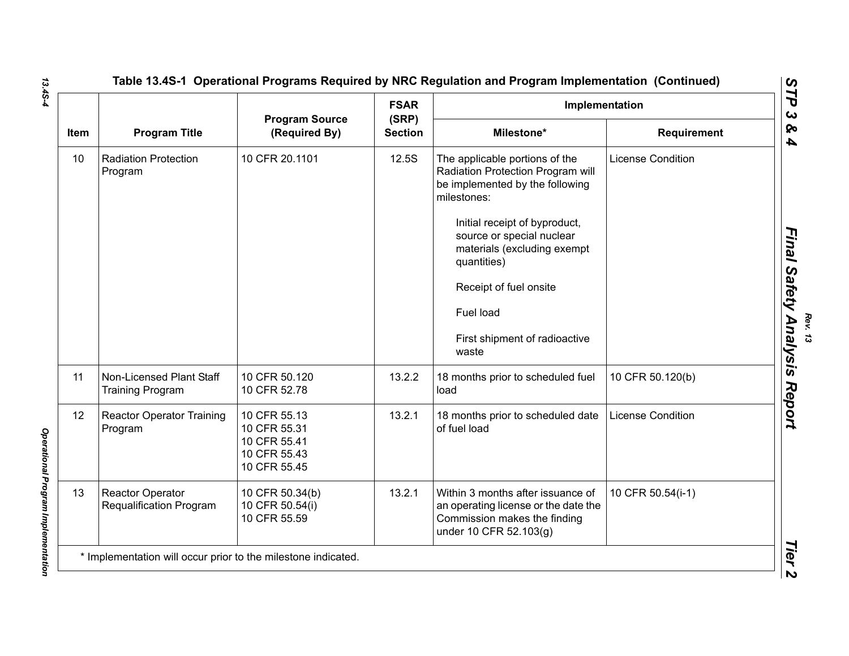| Item |                                                     | <b>Program Source</b><br>(Required By)                                       | <b>FSAR</b>             | Implementation                                                                                                                                                                                                                                                           |                          |  |
|------|-----------------------------------------------------|------------------------------------------------------------------------------|-------------------------|--------------------------------------------------------------------------------------------------------------------------------------------------------------------------------------------------------------------------------------------------------------------------|--------------------------|--|
|      | <b>Program Title</b>                                |                                                                              | (SRP)<br><b>Section</b> | Milestone*                                                                                                                                                                                                                                                               | Requirement              |  |
| 10   | <b>Radiation Protection</b><br>Program              | 10 CFR 20.1101                                                               | 12.5S                   | The applicable portions of the<br>Radiation Protection Program will<br>be implemented by the following<br>milestones:<br>Initial receipt of byproduct,<br>source or special nuclear<br>materials (excluding exempt<br>quantities)<br>Receipt of fuel onsite<br>Fuel load | <b>License Condition</b> |  |
|      |                                                     |                                                                              |                         | First shipment of radioactive<br>waste                                                                                                                                                                                                                                   |                          |  |
| 11   | Non-Licensed Plant Staff<br><b>Training Program</b> | 10 CFR 50.120<br>10 CFR 52.78                                                | 13.2.2                  | 18 months prior to scheduled fuel<br>load                                                                                                                                                                                                                                | 10 CFR 50.120(b)         |  |
| 12   | <b>Reactor Operator Training</b><br>Program         | 10 CFR 55.13<br>10 CFR 55.31<br>10 CFR 55.41<br>10 CFR 55.43<br>10 CFR 55.45 | 13.2.1                  | 18 months prior to scheduled date<br>of fuel load                                                                                                                                                                                                                        | <b>License Condition</b> |  |
| 13   | <b>Reactor Operator</b><br>Requalification Program  | 10 CFR 50.34(b)<br>10 CFR 50.54(i)<br>10 CFR 55.59                           | 13.2.1                  | Within 3 months after issuance of<br>an operating license or the date the<br>Commission makes the finding<br>under 10 CFR 52.103(g)                                                                                                                                      | 10 CFR 50.54(i-1)        |  |

*13.4S-4*

**Operational Program Implementation** *Operational Program Implementation*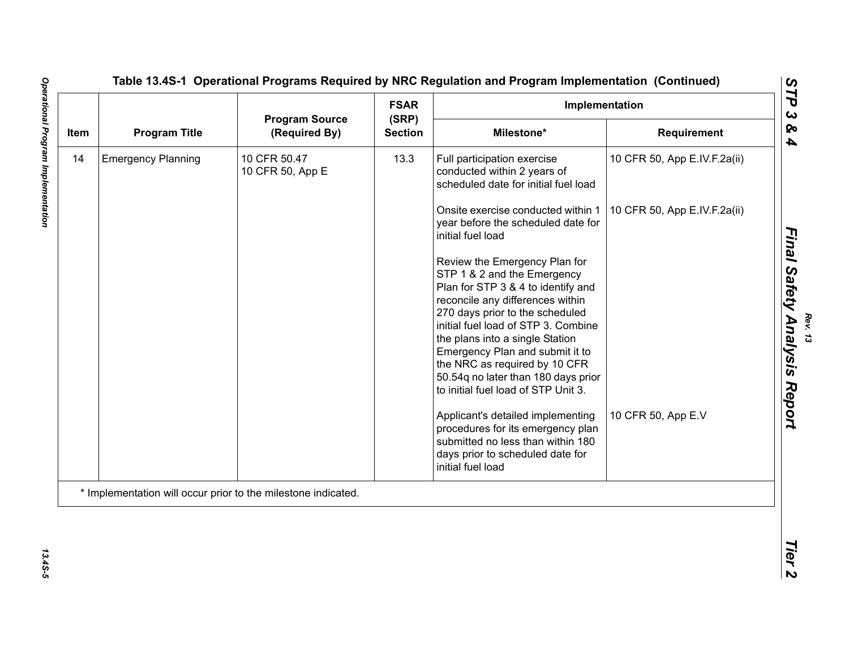| Item |                           |                                                               | <b>FSAR</b>             | Implementation                                                                                                                                                                                                   |                              |
|------|---------------------------|---------------------------------------------------------------|-------------------------|------------------------------------------------------------------------------------------------------------------------------------------------------------------------------------------------------------------|------------------------------|
|      | <b>Program Title</b>      | <b>Program Source</b><br>(Required By)                        | (SRP)<br><b>Section</b> | Milestone*                                                                                                                                                                                                       | Requirement                  |
| 14   | <b>Emergency Planning</b> | 10 CFR 50.47<br>10 CFR 50, App E                              | 13.3                    | Full participation exercise<br>conducted within 2 years of<br>scheduled date for initial fuel load                                                                                                               | 10 CFR 50, App E.IV.F.2a(ii) |
|      |                           |                                                               |                         | Onsite exercise conducted within 1<br>year before the scheduled date for<br>initial fuel load                                                                                                                    | 10 CFR 50, App E.IV.F.2a(ii) |
|      |                           |                                                               |                         | Review the Emergency Plan for<br>STP 1 & 2 and the Emergency<br>Plan for STP 3 & 4 to identify and<br>reconcile any differences within<br>270 days prior to the scheduled<br>initial fuel load of STP 3. Combine |                              |
|      |                           |                                                               |                         | the plans into a single Station<br>Emergency Plan and submit it to<br>the NRC as required by 10 CFR<br>50.54q no later than 180 days prior<br>to initial fuel load of STP Unit 3.                                |                              |
|      |                           |                                                               |                         | Applicant's detailed implementing<br>procedures for its emergency plan<br>submitted no less than within 180<br>days prior to scheduled date for<br>initial fuel load                                             | 10 CFR 50, App E.V           |
|      |                           | * Implementation will occur prior to the milestone indicated. |                         |                                                                                                                                                                                                                  |                              |

13.45-5

*Rev. 13*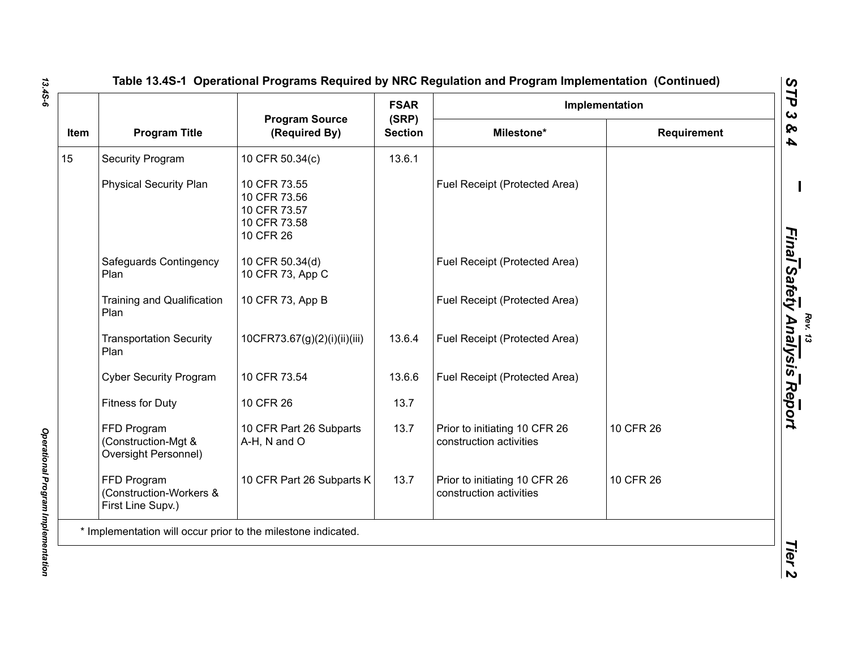| Item | <b>Program Title</b>                                        |                                                                           | <b>FSAR</b>             | Implementation                                           |             |  |
|------|-------------------------------------------------------------|---------------------------------------------------------------------------|-------------------------|----------------------------------------------------------|-------------|--|
|      |                                                             | <b>Program Source</b><br>(Required By)                                    | (SRP)<br><b>Section</b> | Milestone*                                               | Requirement |  |
| 15   | Security Program                                            | 10 CFR 50.34(c)                                                           | 13.6.1                  |                                                          |             |  |
|      | <b>Physical Security Plan</b>                               | 10 CFR 73.55<br>10 CFR 73.56<br>10 CFR 73.57<br>10 CFR 73.58<br>10 CFR 26 |                         | Fuel Receipt (Protected Area)                            |             |  |
|      | Safeguards Contingency<br>Plan                              | 10 CFR 50.34(d)<br>10 CFR 73, App C                                       |                         | Fuel Receipt (Protected Area)                            |             |  |
|      | <b>Training and Qualification</b><br>Plan                   | 10 CFR 73, App B                                                          |                         | Fuel Receipt (Protected Area)                            |             |  |
|      | <b>Transportation Security</b><br>Plan                      | 10CFR73.67(g)(2)(i)(ii)(iii)                                              | 13.6.4                  | Fuel Receipt (Protected Area)                            |             |  |
|      | <b>Cyber Security Program</b>                               | 10 CFR 73.54                                                              | 13.6.6                  | Fuel Receipt (Protected Area)                            |             |  |
|      | Fitness for Duty                                            | 10 CFR 26                                                                 | 13.7                    |                                                          |             |  |
|      | FFD Program<br>(Construction-Mgt &<br>Oversight Personnel)  | 10 CFR Part 26 Subparts<br>A-H, N and O                                   | 13.7                    | Prior to initiating 10 CFR 26<br>construction activities | 10 CFR 26   |  |
|      | FFD Program<br>(Construction-Workers &<br>First Line Supv.) | 10 CFR Part 26 Subparts K                                                 | 13.7                    | Prior to initiating 10 CFR 26<br>construction activities | 10 CFR 26   |  |

*13.4S-6*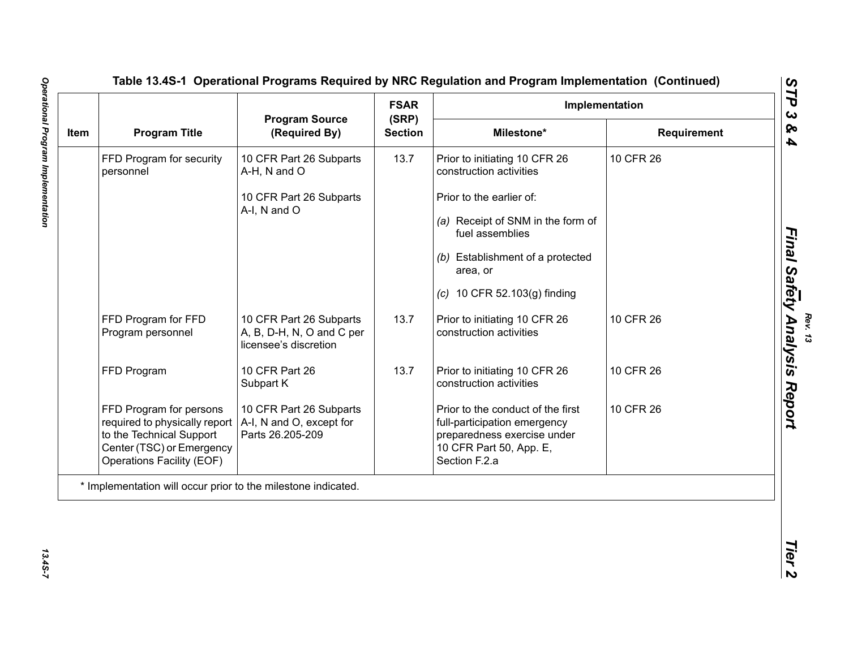| Item |                                                                                                                                                |                                                                               | <b>FSAR</b>             | Implementation                                                                                                                               |             |  |
|------|------------------------------------------------------------------------------------------------------------------------------------------------|-------------------------------------------------------------------------------|-------------------------|----------------------------------------------------------------------------------------------------------------------------------------------|-------------|--|
|      | <b>Program Title</b>                                                                                                                           | <b>Program Source</b><br>(Required By)                                        | (SRP)<br><b>Section</b> | Milestone*                                                                                                                                   | Requirement |  |
|      | FFD Program for security<br>personnel                                                                                                          | 10 CFR Part 26 Subparts<br>A-H, N and O                                       | 13.7                    | Prior to initiating 10 CFR 26<br>construction activities                                                                                     | 10 CFR 26   |  |
|      |                                                                                                                                                | 10 CFR Part 26 Subparts                                                       |                         | Prior to the earlier of:                                                                                                                     |             |  |
|      |                                                                                                                                                | A-I, N and O                                                                  |                         | (a) Receipt of SNM in the form of<br>fuel assemblies                                                                                         |             |  |
|      |                                                                                                                                                |                                                                               |                         | (b) Establishment of a protected<br>area, or                                                                                                 |             |  |
|      |                                                                                                                                                |                                                                               |                         | (c) 10 CFR 52.103(g) finding                                                                                                                 |             |  |
|      | FFD Program for FFD<br>Program personnel                                                                                                       | 10 CFR Part 26 Subparts<br>A, B, D-H, N, O and C per<br>licensee's discretion | 13.7                    | Prior to initiating 10 CFR 26<br>construction activities                                                                                     | 10 CFR 26   |  |
|      | FFD Program                                                                                                                                    | 10 CFR Part 26<br>Subpart K                                                   | 13.7                    | Prior to initiating 10 CFR 26<br>construction activities                                                                                     | 10 CFR 26   |  |
|      | FFD Program for persons<br>required to physically report<br>to the Technical Support<br>Center (TSC) or Emergency<br>Operations Facility (EOF) | 10 CFR Part 26 Subparts<br>A-I, N and O, except for<br>Parts 26.205-209       |                         | Prior to the conduct of the first<br>full-participation emergency<br>preparedness exercise under<br>10 CFR Part 50, App. E,<br>Section F.2.a | 10 CFR 26   |  |
|      | * Implementation will occur prior to the milestone indicated.                                                                                  |                                                                               |                         |                                                                                                                                              |             |  |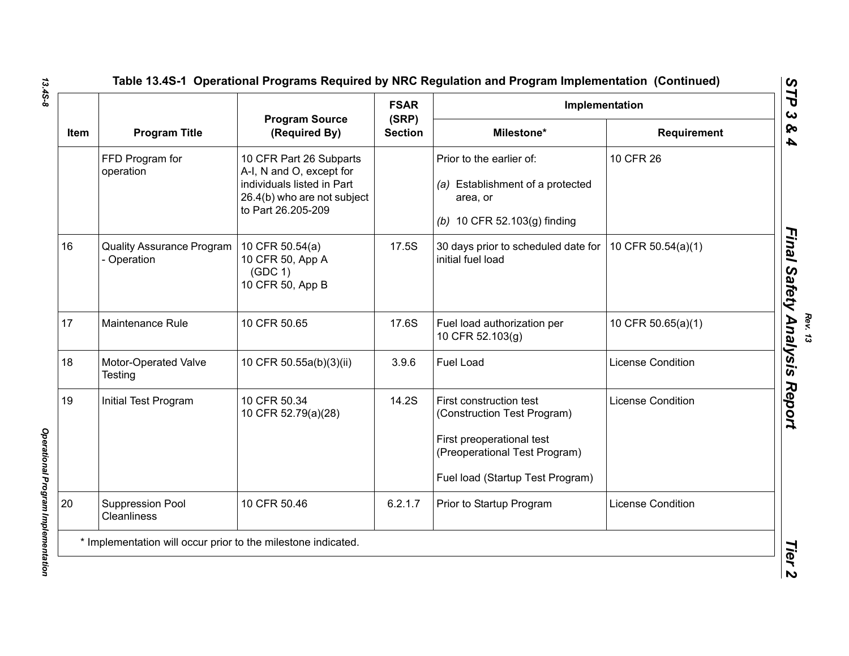|      |                                                 | <b>Program Source</b><br>(Required By)                                                                                                 | <b>FSAR</b>             | Implementation                                                                                                                                           |                          |
|------|-------------------------------------------------|----------------------------------------------------------------------------------------------------------------------------------------|-------------------------|----------------------------------------------------------------------------------------------------------------------------------------------------------|--------------------------|
| Item | <b>Program Title</b>                            |                                                                                                                                        | (SRP)<br><b>Section</b> | Milestone*                                                                                                                                               | <b>Requirement</b>       |
|      | FFD Program for<br>operation                    | 10 CFR Part 26 Subparts<br>A-I, N and O, except for<br>individuals listed in Part<br>26.4(b) who are not subject<br>to Part 26.205-209 |                         | Prior to the earlier of:<br>(a) Establishment of a protected<br>area, or<br>(b) 10 CFR 52.103(g) finding                                                 | 10 CFR 26                |
| 16   | <b>Quality Assurance Program</b><br>- Operation | 10 CFR 50.54(a)<br>10 CFR 50, App A<br>(GDC 1)<br>10 CFR 50, App B                                                                     | 17.5S                   | 30 days prior to scheduled date for<br>initial fuel load                                                                                                 | 10 CFR 50.54(a)(1)       |
| 17   | Maintenance Rule                                | 10 CFR 50.65                                                                                                                           | 17.6S                   | Fuel load authorization per<br>10 CFR 52.103(g)                                                                                                          | 10 CFR 50.65(a)(1)       |
| 18   | Motor-Operated Valve<br>Testing                 | 10 CFR 50.55a(b)(3)(ii)                                                                                                                | 3.9.6                   | Fuel Load                                                                                                                                                | <b>License Condition</b> |
| 19   | Initial Test Program                            | 10 CFR 50.34<br>10 CFR 52.79(a)(28)                                                                                                    | 14.2S                   | First construction test<br>(Construction Test Program)<br>First preoperational test<br>(Preoperational Test Program)<br>Fuel load (Startup Test Program) | <b>License Condition</b> |
| 20   | Suppression Pool<br><b>Cleanliness</b>          | 10 CFR 50.46                                                                                                                           | 6.2.1.7                 | Prior to Startup Program                                                                                                                                 | <b>License Condition</b> |